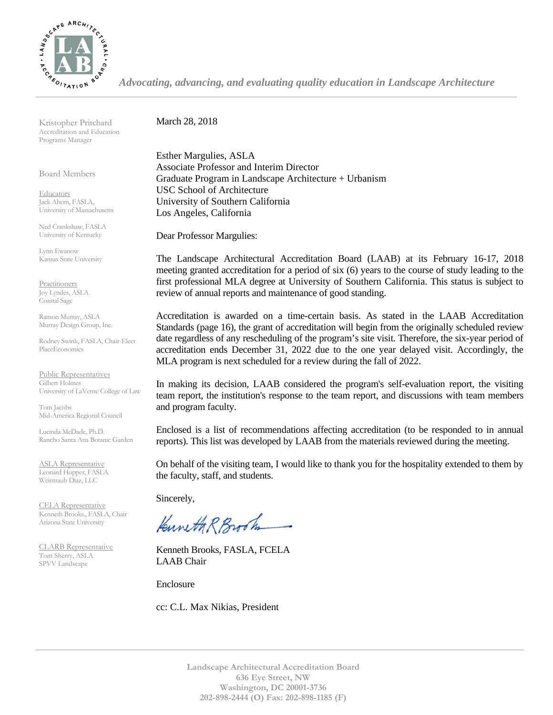

*Advocating, advancing, and evaluating quality education in Landscape Architecture*

Kristopher Pritchard Accreditation and Education Programs Manager

Board Members

**Educators** Jack Ahern, FASLA, University of Massachusetts

Ned Crankshaw, FASLA University of Kentucky

Lynn Ewanow Kansas State University

**Practitioners** Joy Lyndes, ASLA Coastal Sage

Ramon Murray, ASLA Murray Design Group, Inc.

Rodney Swink, FASLA, Chair-Elect PlaceEconomics

Public Representatives Gilbert Holmes University of LaVerne College of Law

Tom Jacobs Mid-America Regional Council

Lucinda McDade, Ph.D. Rancho Santa Ana Botanic Garden

ASLA Representative Leonard Hopper, FASLA Weintraub Diaz, LLC

CELA Representative Kenneth Brooks., FASLA, Chair Arizona State University

CLARB Representative Tom Sherry, ASLA SPVV Landscape

March 28, 2018

Esther Margulies, ASLA Associate Professor and Interim Director Graduate Program in Landscape Architecture + Urbanism USC School of Architecture University of Southern California Los Angeles, California

Dear Professor Margulies:

The Landscape Architectural Accreditation Board (LAAB) at its February 16-17, 2018 meeting granted accreditation for a period of six (6) years to the course of study leading to the first professional MLA degree at University of Southern California. This status is subject to review of annual reports and maintenance of good standing.

Accreditation is awarded on a time-certain basis. As stated in the LAAB Accreditation Standards (page 16), the grant of accreditation will begin from the originally scheduled review date regardless of any rescheduling of the program's site visit. Therefore, the six-year period of accreditation ends December 31, 2022 due to the one year delayed visit. Accordingly, the MLA program is next scheduled for a review during the fall of 2022.

In making its decision, LAAB considered the program's self-evaluation report, the visiting team report, the institution's response to the team report, and discussions with team members and program faculty.

Enclosed is a list of recommendations affecting accreditation (to be responded to in annual reports). This list was developed by LAAB from the materials reviewed during the meeting.

On behalf of the visiting team, I would like to thank you for the hospitality extended to them by the faculty, staff, and students.

Sincerely,

Kuneth R Brooth

Kenneth Brooks, FASLA, FCELA LAAB Chair

Enclosure

cc: C.L. Max Nikias, President

**Landscape Architectural Accreditation Board 636 Eye Street, NW Washington, DC 20001-3736 202-898-2444 (O) Fax: 202-898-1185 (F)**